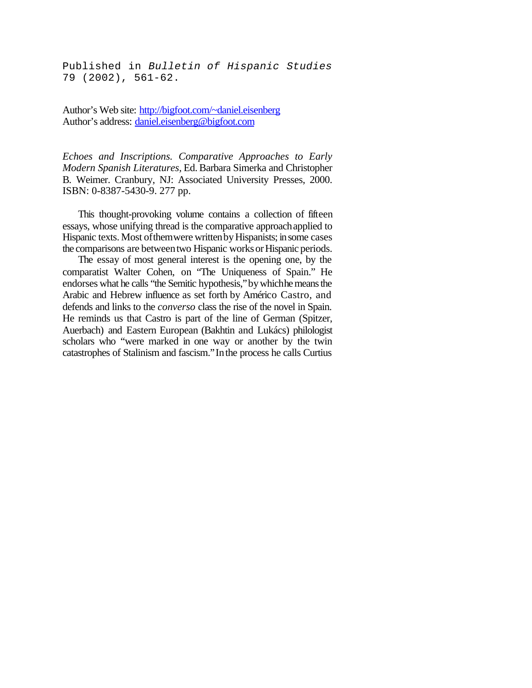Published in *Bulletin of Hispanic Studies* 79 (2002), 561-62.

Author's Web site: http://bigfoot.com/~daniel.eisenberg Author's address: daniel.eisenberg@bigfoot.com

*Echoes and Inscriptions. Comparative Approaches to Early Modern Spanish Literatures,* Ed. Barbara Simerka and Christopher B. Weimer. Cranbury, NJ: Associated University Presses, 2000. ISBN: 0-8387-5430-9. 277 pp.

This thought-provoking volume contains a collection of fifteen essays, whose unifying thread is the comparative approachapplied to Hispanic texts. Most of them were written by Hispanists; in some cases the comparisons are between two Hispanic works or Hispanic periods.

The essay of most general interest is the opening one, by the comparatist Walter Cohen, on "The Uniqueness of Spain." He endorses what he calls "the Semitic hypothesis," by whichhe means the Arabic and Hebrew influence as set forth by Américo Castro, and defends and links to the *converso* class the rise of the novel in Spain. He reminds us that Castro is part of the line of German (Spitzer, Auerbach) and Eastern European (Bakhtin and Lukács) philologist scholars who "were marked in one way or another by the twin catastrophes of Stalinism and fascism."Inthe process he calls Curtius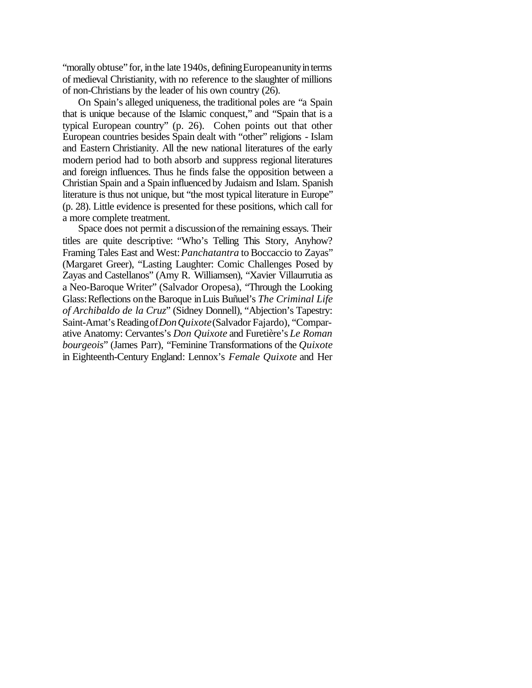"morally obtuse" for, in the late 1940s, defining Europeanunity in terms of medieval Christianity, with no reference to the slaughter of millions of non-Christians by the leader of his own country (26).

On Spain's alleged uniqueness, the traditional poles are "a Spain that is unique because of the Islamic conquest," and "Spain that is a typical European country" (p. 26). Cohen points out that other European countries besides Spain dealt with "other" religions - Islam and Eastern Christianity. All the new national literatures of the early modern period had to both absorb and suppress regional literatures and foreign influences. Thus he finds false the opposition between a Christian Spain and a Spain influenced by Judaism and Islam. Spanish literature is thus not unique, but "the most typical literature in Europe" (p. 28). Little evidence is presented for these positions, which call for a more complete treatment.

Space does not permit a discussionof the remaining essays. Their titles are quite descriptive: "Who's Telling This Story, Anyhow? Framing Tales East and West:*Panchatantra* to Boccaccio to Zayas" (Margaret Greer), "Lasting Laughter: Comic Challenges Posed by Zayas and Castellanos" (Amy R. Williamsen), "Xavier Villaurrutia as a Neo-Baroque Writer" (Salvador Oropesa), "Through the Looking Glass:Reflections onthe Baroque inLuis Buñuel's *The Criminal Life of Archibaldo de la Cruz*" (Sidney Donnell), "Abjection's Tapestry: Saint-Amat's Reading of *Don Quixote* (Salvador Fajardo), "Comparative Anatomy: Cervantes's *Don Quixote* and Furetière's *Le Roman bourgeois*" (James Parr), "Feminine Transformations of the *Quixote* in Eighteenth-Century England: Lennox's *Female Quixote* and Her